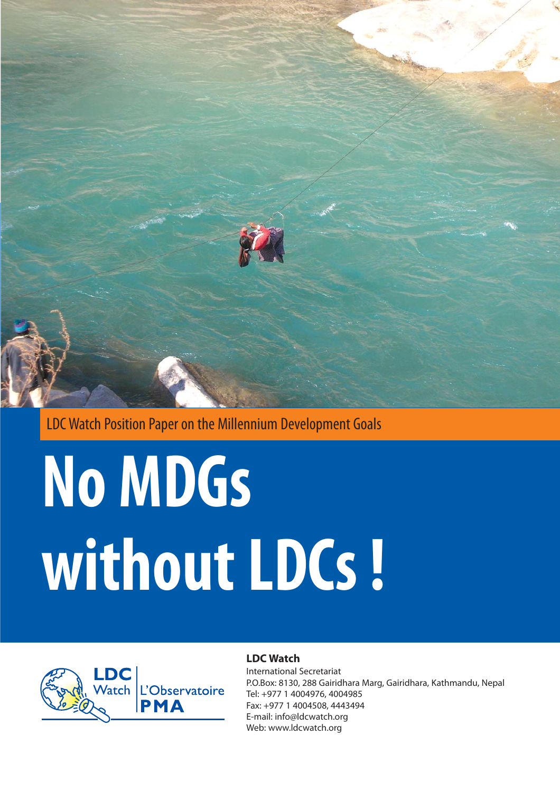

LDC Watch Position Paper on the Millennium Development Goals

# **No MDGs without LDCs !**



#### **LDC Watch**

International Secretariat P.O.Box: 8130, 288 Gairidhara Marg, Gairidhara, Kathmandu, Nepal Tel: +977 1 4004976, 4004985 Fax: +977 1 4004508, 4443494 E-mail: info@ldcwatch.org Web: www.ldcwatch.org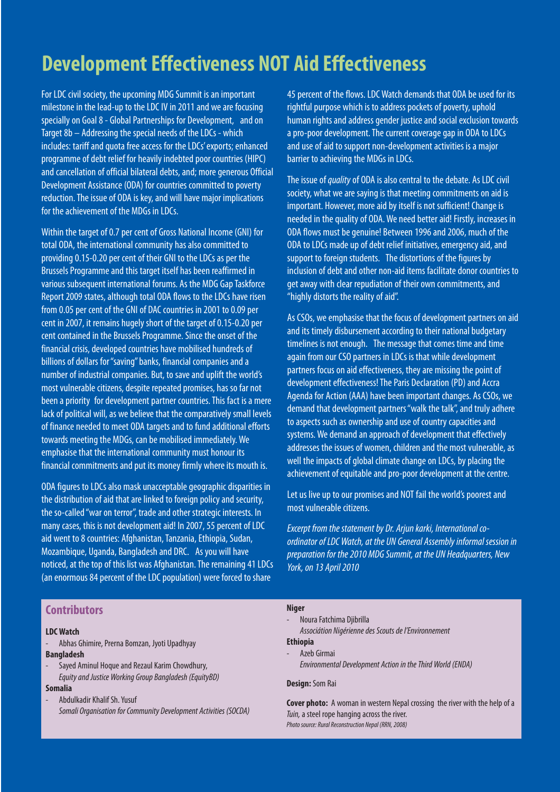## **Development Effectiveness NOT Aid Effectiveness**

For LDC civil society, the upcoming MDG Summit is an important milestone in the lead-up to the LDC IV in 2011 and we are focusing specially on Goal 8 - Global Partnerships for Development, and on Target 8b – Addressing the special needs of the LDCs - which includes: tariff and quota free access for the LDCs' exports; enhanced programme of debt relief for heavily indebted poor countries (HIPC) and cancellation of official bilateral debts, and; more generous Official Development Assistance (ODA) for countries committed to poverty reduction. The issue of ODA is key, and will have major implications for the achievement of the MDGs in LDCs.

Within the target of 0.7 per cent of Gross National Income (GNI) for total ODA, the international community has also committed to providing 0.15-0.20 per cent of their GNI to the LDCs as per the Brussels Programme and this target itself has been reaffirmed in various subsequent international forums. As the MDG Gap Taskforce Report 2009 states, although total ODA flows to the LDCs have risen from 0.05 per cent of the GNI of DAC countries in 2001 to 0.09 per cent in 2007, it remains hugely short of the target of 0.15-0.20 per cent contained in the Brussels Programme. Since the onset of the financial crisis, developed countries have mobilised hundreds of billions of dollars for "saving" banks, financial companies and a number of industrial companies. But, to save and uplift the world's most vulnerable citizens, despite repeated promises, has so far not been a priority for development partner countries. This fact is a mere lack of political will, as we believe that the comparatively small levels of finance needed to meet ODA targets and to fund additional efforts towards meeting the MDGs, can be mobilised immediately. We emphasise that the international community must honour its financial commitments and put its money firmly where its mouth is.

ODA figures to LDCs also mask unacceptable geographic disparities in the distribution of aid that are linked to foreign policy and security, the so-called "war on terror", trade and other strategic interests. In many cases, this is not development aid! In 2007, 55 percent of LDC aid went to 8 countries: Afghanistan, Tanzania, Ethiopia, Sudan, Mozambique, Uganda, Bangladesh and DRC. As you will have noticed, at the top of this list was Afghanistan. The remaining 41 LDCs (an enormous 84 percent of the LDC population) were forced to share

45 percent of the flows. LDC Watch demands that ODA be used for its rightful purpose which is to address pockets of poverty, uphold human rights and address gender justice and social exclusion towards a pro-poor development. The current coverage gap in ODA to LDCs and use of aid to support non-development activities is a major barrier to achieving the MDGs in LDCs.

The issue of quality of ODA is also central to the debate. As LDC civil society, what we are saying is that meeting commitments on aid is important. However, more aid by itself is not sufficient! Change is needed in the quality of ODA. We need better aid! Firstly, increases in ODA flows must be genuine! Between 1996 and 2006, much of the ODA to LDCs made up of debt relief initiatives, emergency aid, and support to foreign students. The distortions of the figures by inclusion of debt and other non-aid items facilitate donor countries to get away with clear repudiation of their own commitments, and "highly distorts the reality of aid".

As CSOs, we emphasise that the focus of development partners on aid and its timely disbursement according to their national budgetary timelines is not enough. The message that comes time and time again from our CSO partners in LDCs is that while development partners focus on aid effectiveness, they are missing the point of development effectiveness! The Paris Declaration (PD) and Accra Agenda for Action (AAA) have been important changes. As CSOs, we demand that development partners "walk the talk", and truly adhere to aspects such as ownership and use of country capacities and systems. We demand an approach of development that effectively addresses the issues of women, children and the most vulnerable, as well the impacts of global climate change on LDCs, by placing the achievement of equitable and pro-poor development at the centre.

Let us live up to our promises and NOT fail the world's poorest and most vulnerable citizens.

Excerpt from the statement by Dr. Arjun karki, International coordinator of LDC Watch, at the UN General Assembly informal session in preparation for the 2010 MDG Summit, at the UN Headquarters, New York, on 13 April 2010

| <b>Contributors</b>                                                        | <b>Niger</b>                                                                |
|----------------------------------------------------------------------------|-----------------------------------------------------------------------------|
|                                                                            | Noura Fatchima Djibrilla<br>Æ                                               |
| <b>LDC Watch</b>                                                           | Associátion Nigérienne des Scouts de l'Environnement                        |
| Abhas Ghimire, Prerna Bomzan, Jyoti Upadhyay<br>$\overline{\phantom{a}}$   | <b>Ethiopia</b>                                                             |
| <b>Bangladesh</b>                                                          | Azeb Girmai<br>۰.                                                           |
| Sayed Aminul Hoque and Rezaul Karim Chowdhury,<br>$\overline{\phantom{a}}$ | Environmental Development Action in the Third World (ENDA)                  |
| Equity and Justice Working Group Bangladesh (EquityBD)<br><b>Somalia</b>   | <b>Design:</b> Som Rai                                                      |
| Abdulkadir Khalif Sh. Yusuf<br>۰.                                          | Cover photo: A woman in western Nepal crossing the river with the help of a |
| Somali Organisation for Community Development Activities (SOCDA)           | Tuin, a steel rope hanging across the river.                                |
|                                                                            | Photo source: Rural Reconstruction Nepal (RRN, 2008)                        |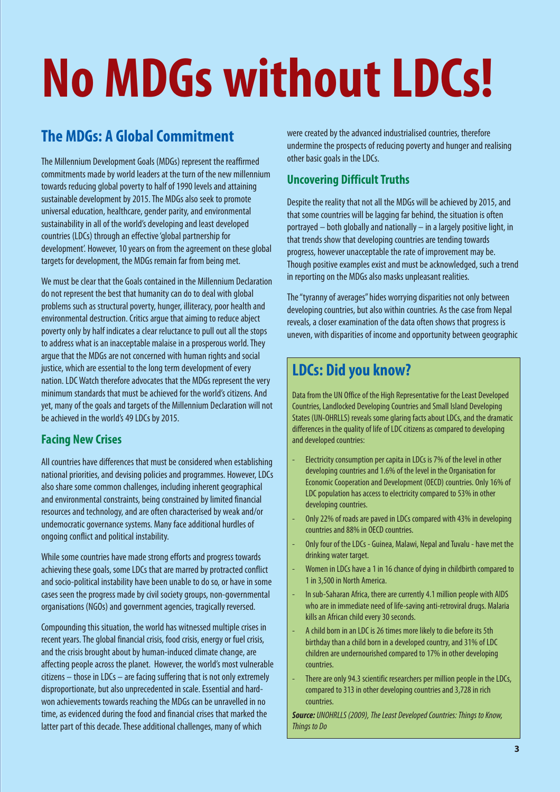## **No MDGs without LDCs!**

## **The MDGs: A Global Commitment**

The Millennium Development Goals (MDGs) represent the reaffirmed commitments made by world leaders at the turn of the new millennium towards reducing global poverty to half of 1990 levels and attaining sustainable development by 2015. The MDGs also seek to promote universal education, healthcare, gender parity, and environmental sustainability in all of the world's developing and least developed countries (LDCs) through an effective 'global partnership for development'. However, 10 years on from the agreement on these global targets for development, the MDGs remain far from being met.

We must be clear that the Goals contained in the Millennium Declaration do not represent the best that humanity can do to deal with global problems such as structural poverty, hunger, illiteracy, poor health and environmental destruction. Critics argue that aiming to reduce abject poverty only by half indicates a clear reluctance to pull out all the stops to address what is an inacceptable malaise in a prosperous world. They argue that the MDGs are not concerned with human rights and social justice, which are essential to the long term development of every nation. LDC Watch therefore advocates that the MDGs represent the very minimum standards that must be achieved for the world's citizens. And yet, many of the goals and targets of the Millennium Declaration will not be achieved in the world's 49 LDCs by 2015.

#### **Facing New Crises**

All countries have differences that must be considered when establishing national priorities, and devising policies and programmes. However, LDCs also share some common challenges, including inherent geographical and environmental constraints, being constrained by limited financial resources and technology, and are often characterised by weak and/or undemocratic governance systems. Many face additional hurdles of ongoing conflict and political instability.

While some countries have made strong efforts and progress towards achieving these goals, some LDCs that are marred by protracted conflict and socio-political instability have been unable to do so, or have in some cases seen the progress made by civil society groups, non-governmental organisations (NGOs) and government agencies, tragically reversed.

Compounding this situation, the world has witnessed multiple crises in recent years. The global financial crisis, food crisis, energy or fuel crisis, and the crisis brought about by human-induced climate change, are affecting people across the planet. However, the world's most vulnerable citizens – those in LDCs – are facing suffering that is not only extremely disproportionate, but also unprecedented in scale. Essential and hardwon achievements towards reaching the MDGs can be unravelled in no time, as evidenced during the food and financial crises that marked the latter part of this decade. These additional challenges, many of which

were created by the advanced industrialised countries, therefore undermine the prospects of reducing poverty and hunger and realising other basic goals in the LDCs.

### **Uncovering Difficult Truths**

Despite the reality that not all the MDGs will be achieved by 2015, and that some countries will be lagging far behind, the situation is often portrayed – both globally and nationally – in a largely positive light, in that trends show that developing countries are tending towards progress, however unacceptable the rate of improvement may be. Though positive examples exist and must be acknowledged, such a trend in reporting on the MDGs also masks unpleasant realities.

The "tyranny of averages" hides worrying disparities not only between developing countries, but also within countries. As the case from Nepal reveals, a closer examination of the data often shows that progress is uneven, with disparities of income and opportunity between geographic

## **LDCs: Did you know?**

Data from the UN Office of the High Representative for the Least Developed Countries, Landlocked Developing Countries and Small Island Developing States (UN-OHRLLS) reveals some glaring facts about LDCs, and the dramatic differences in the quality of life of LDC citizens as compared to developing and developed countries:

- Electricity consumption per capita in LDCs is 7% of the level in other developing countries and 1.6% of the level in the Organisation for Economic Cooperation and Development (OECD) countries. Only 16% of LDC population has access to electricity compared to 53% in other developing countries.
- Only 22% of roads are paved in LDCs compared with 43% in developing countries and 88% in OECD countries.
- Only four of the LDCs Guinea, Malawi, Nepal and Tuvalu have met the drinking water target.
- Women in LDCs have a 1 in 16 chance of dying in childbirth compared to 1 in 3,500 in North America.
- In sub-Saharan Africa, there are currently 4.1 million people with AIDS who are in immediate need of life-saving anti-retroviral drugs. Malaria kills an African child every 30 seconds.
- A child born in an LDC is 26 times more likely to die before its 5th birthday than a child born in a developed country, and 31% of LDC children are undernourished compared to 17% in other developing countries.
- There are only 94.3 scientific researchers per million people in the LDCs, compared to 313 in other developing countries and 3,728 in rich countries.

**Source:** UNOHRLLS (2009), The Least Developed Countries: Things to Know, Things to Do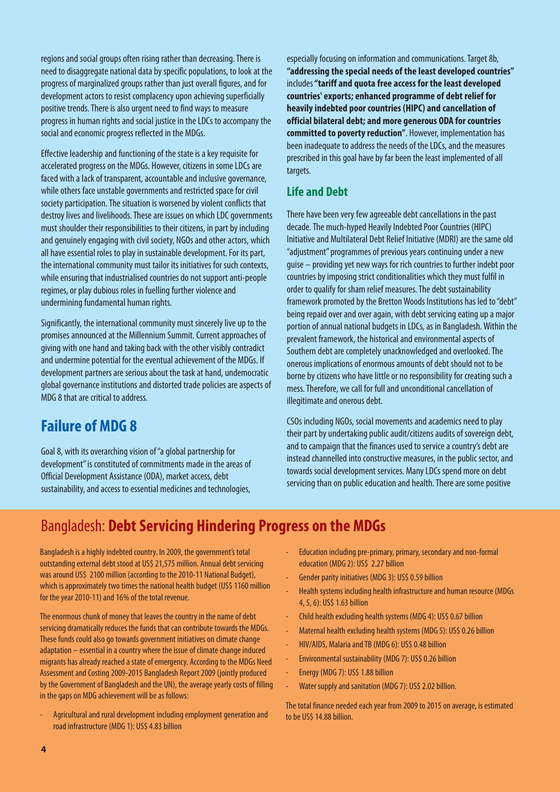regions and social groups often rising rather than decreasing. There is need to disaggregate national data by specific populations, to look at the progress of marginalized groups rather than just overall figures, and for development actors to resist complacency upon achieving superficially positive trends. There is also urgent need to find ways to measure progress in human rights and social justice in the LDCs to accompany the social and economic progress reflected in the MDGs.

Effective leadership and functioning of the state is a key requisite for accelerated progress on the MDGs. However, citizens in some LDCs are faced with a lack of transparent, accountable and inclusive governance, while others face unstable governments and restricted space for civil society participation. The situation is worsened by violent conflicts that destroy lives and livelihoods. These are issues on which LDC governments must shoulder their responsibilities to their citizens, in part by including and genuinely engaging with civil society, NGOs and other actors, which all have essential roles to play in sustainable development. For its part, the international community must tailor its initiatives for such contexts, while ensuring that industrialised countries do not support anti-people regimes, or play dubious roles in fuelling further violence and undermining fundamental human rights.

Significantly, the international community must sincerely live up to the promises announced at the Millennium Summit. Current approaches of giving with one hand and taking back with the other visibly contradict and undermine potential for the eventual achievement of the MDGs. If development partners are serious about the task at hand, undemocratic global governance institutions and distorted trade policies are aspects of MDG 8 that are critical to address.

## **Failure of MDG 8**

Goal 8, with its overarching vision of "a global partnership for development" is constituted of commitments made in the areas of Official Development Assistance (ODA), market access, debt sustainability, and access to essential medicines and technologies,

especially focusing on information and communications. Target 8b, **"addressing the special needs of the least developed countries"** includes**"tariff and quota free access for the least developed countries' exports; enhanced programme of debt relief for heavily indebted poor countries (HIPC) and cancellation of official bilateral debt; and more generous ODA for countries committed to poverty reduction"**. However, implementation has been inadequate to address the needs of the LDCs, and the measures prescribed in this goal have by far been the least implemented of all targets.

#### **Life and Debt**

There have been very few agreeable debt cancellations in the past decade. The much-hyped Heavily Indebted Poor Countries (HIPC) Initiative and Multilateral Debt Relief Initiative (MDRI) are the same old "adjustment" programmes of previous years continuing under a new guise – providing yet new ways for rich countries to further indebt poor countries by imposing strict conditionalities which they must fulfil in order to qualify for sham relief measures. The debt sustainability framework promoted by the Bretton Woods Institutions has led to "debt" being repaid over and over again, with debt servicing eating up a major portion of annual national budgets in LDCs, as in Bangladesh. Within the prevalent framework, the historical and environmental aspects of Southern debt are completely unacknowledged and overlooked. The onerous implications of enormous amounts of debt should not to be borne by citizens who have little or no responsibility for creating such a mess. Therefore, we call for full and unconditional cancellation of illegitimate and onerous debt.

CSOs including NGOs, social movements and academics need to play their part by undertaking public audit/citizens audits of sovereign debt, and to campaign that the finances used to service a country's debt are instead channelled into constructive measures, in the public sector, and towards social development services. Many LDCs spend more on debt servicing than on public education and health. There are some positive

## Bangladesh: **Debt Servicing Hindering Progress on the MDGs**

Bangladesh is a highly indebted country. In 2009, the government's total outstanding external debt stood at US\$ 21,575 million. Annual debt servicing was around US\$ 2100 million (according to the 2010-11 National Budget), which is approximately two times the national health budget (US\$ 1160 million for the year 2010-11) and 16% of the total revenue.

The enormous chunk of money that leaves the country in the name of debt servicing dramatically reduces the funds that can contribute towards the MDGs. These funds could also go towards government initiatives on climate change adaptation – essential in a country where the issue of climate change induced migrants has already reached a state of emergency. According to the MDGs Need Assessment and Costing 2009-2015 Bangladesh Report 2009 (jointly produced by the Government of Bangladesh and the UN), the average yearly costs of filling in the gaps on MDG achievement will be as follows:

- Agricultural and rural development including employment generation and road infrastructure (MDG 1): US\$ 4.83 billion

- Education including pre-primary, primary, secondary and non-formal education (MDG 2): US\$ 2.27 billion
- Gender parity initiatives (MDG 3): US\$ 0.59 billion
- Health systems including health infrastructure and human resource (MDGs 4, 5, 6): US\$ 1.63 billion
- Child health excluding health systems (MDG 4): US\$ 0.67 billion
- Maternal health excluding health systems (MDG 5): US\$ 0.26 billion
- HIV/AIDS, Malaria and TB (MDG 6): US\$ 0.48 billion
- Environmental sustainability (MDG 7): US\$ 0.26 billion
- Energy (MDG 7): US\$ 1.88 billion
- Water supply and sanitation (MDG 7): US\$ 2.02 billion.

The total finance needed each year from 2009 to 2015 on average, is estimated to be US\$ 14.88 billion.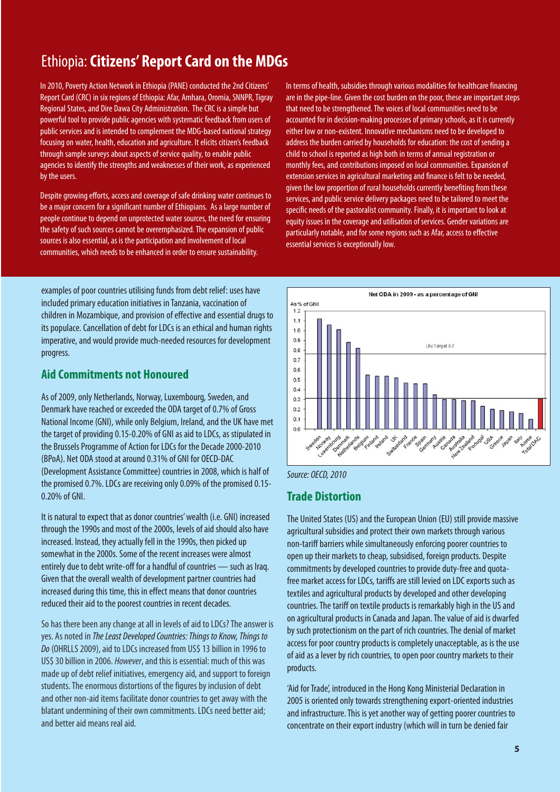## Ethiopia:**Citizens' Report Card on the MDGs**

In 2010, Poverty Action Network in Ethiopia (PANE) conducted the 2nd Citizens' Report Card (CRC) in six regions of Ethiopia: Afar, Amhara, Oromia, SNNPR, Tigray Regional States, and Dire Dawa City Administration. The CRC is a simple but powerful tool to provide public agencies with systematic feedback from users of public services and is intended to complement the MDG-based national strategy focusing on water, health, education and agriculture. It elicits citizen's feedback through sample surveys about aspects of service quality, to enable public agencies to identify the strengths and weaknesses of their work, as experienced by the users.

Despite growing efforts, access and coverage of safe drinking water continues to be a major concern for a significant number of Ethiopians. As a large number of people continue to depend on unprotected water sources, the need for ensuring the safety of such sources cannot be overemphasized. The expansion of public sources is also essential, as is the participation and involvement of local communities, which needs to be enhanced in order to ensure sustainability.

examples of poor countries utilising funds from debt relief: uses have included primary education initiatives in Tanzania, vaccination of children in Mozambique, and provision of effective and essential drugs to its populace. Cancellation of debt for LDCs is an ethical and human rights imperative, and would provide much-needed resources for development progress.

#### **Aid Commitments not Honoured**

As of 2009, only Netherlands, Norway, Luxembourg, Sweden, and Denmark have reached or exceeded the ODA target of 0.7% of Gross National Income (GNI), while only Belgium, Ireland, and the UK have met the target of providing 0.15-0.20% of GNI as aid to LDCs, as stipulated in the Brussels Programme of Action for LDCs for the Decade 2000-2010 (BPoA). Net ODA stood at around 0.31% of GNI for OECD-DAC (Development Assistance Committee) countries in 2008, which is half of the promised 0.7%. LDCs are receiving only 0.09% of the promised 0.15- 0.20% of GNI.

It is natural to expect that as donor countries' wealth (i.e. GNI) increased through the 1990s and most of the 2000s, levels of aid should also have increased. Instead, they actually fell in the 1990s, then picked up somewhat in the 2000s. Some of the recent increases were almost entirely due to debt write-off for a handful of countries — such as Iraq. Given that the overall wealth of development partner countries had increased during this time, this in effect means that donor countries reduced their aid to the poorest countries in recent decades.

So has there been any change at all in levels of aid to LDCs? The answer is yes. As noted in The Least Developed Countries: Things to Know, Things to Do (OHRLLS 2009), aid to LDCs increased from US\$ 13 billion in 1996 to US\$ 30 billion in 2006. However, and this is essential: much of this was made up of debt relief initiatives, emergency aid, and support to foreign students. The enormous distortions of the figures by inclusion of debt and other non-aid items facilitate donor countries to get away with the blatant undermining of their own commitments. LDCs need better aid; and better aid means real aid.

In terms of health, subsidies through various modalities for healthcare financing are in the pipe-line. Given the cost burden on the poor, these are important steps that need to be strengthened. The voices of local communities need to be accounted for in decision-making processes of primary schools, as it is currently either low or non-existent. Innovative mechanisms need to be developed to address the burden carried by households for education: the cost of sending a child to school is reported as high both in terms of annual registration or monthly fees, and contributions imposed on local communities. Expansion of extension services in agricultural marketing and finance is felt to be needed, given the low proportion of rural households currently benefiting from these services, and public service delivery packages need to be tailored to meet the specific needs of the pastoralist community. Finally, it is important to look at equity issues in the coverage and utilisation of services. Gender variations are particularly notable, and for some regions such as Afar, access to effective essential services is exceptionally low.



Source: OECD, 2010

#### **Trade Distortion**

The United States (US) and the European Union (EU) still provide massive agricultural subsidies and protect their own markets through various non-tariff barriers while simultaneously enforcing poorer countries to open up their markets to cheap, subsidised, foreign products. Despite commitments by developed countries to provide duty-free and quotafree market access for LDCs, tariffs are still levied on LDC exports such as textiles and agricultural products by developed and other developing countries. The tariff on textile products is remarkably high in the US and on agricultural products in Canada and Japan. The value of aid is dwarfed by such protectionism on the part of rich countries. The denial of market access for poor country products is completely unacceptable, as is the use of aid as a lever by rich countries, to open poor country markets to their products.

'Aid for Trade', introduced in the Hong Kong Ministerial Declaration in 2005 is oriented only towards strengthening export-oriented industries and infrastructure. This is yet another way of getting poorer countries to concentrate on their export industry (which will in turn be denied fair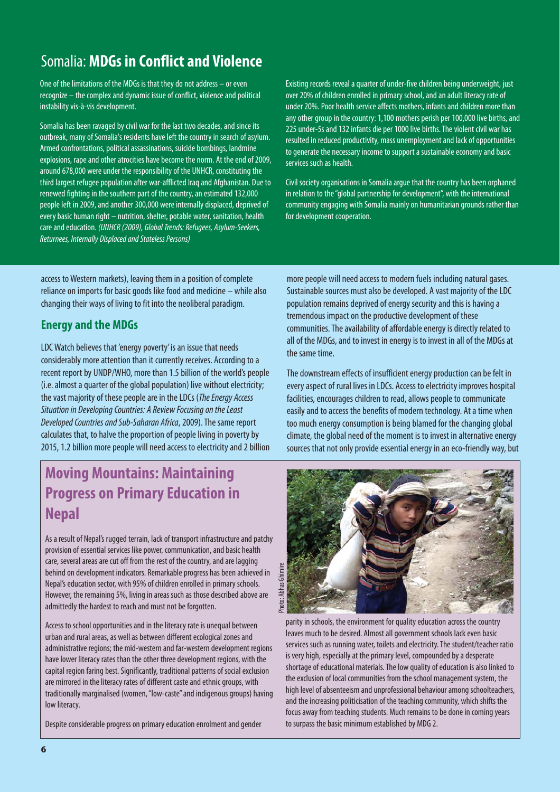## Somalia: **MDGs in Conflict and Violence**

One of the limitations of the MDGs is that they do not address – or even recognize – the complex and dynamic issue of conflict, violence and political instability vis-à-vis development.

Somalia has been ravaged by civil war for the last two decades, and since its outbreak, many of Somalia's residents have left the country in search of asylum. Armed confrontations, political assassinations, suicide bombings, landmine explosions, rape and other atrocities have become the norm. At the end of 2009, around 678,000 were under the responsibility of the UNHCR, constituting the third largest refugee population after war-afflicted Iraq and Afghanistan. Due to renewed fighting in the southern part of the country, an estimated 132,000 people left in 2009, and another 300,000 were internally displaced, deprived of every basic human right – nutrition, shelter, potable water, sanitation, health care and education. (UNHCR (2009), Global Trends: Refugees, Asylum-Seekers, Returnees, Internally Displaced and Stateless Persons)

Existing records reveal a quarter of under-five children being underweight, just over 20% of children enrolled in primary school, and an adult literacy rate of under 20%. Poor health service affects mothers, infants and children more than any other group in the country: 1,100 mothers perish per 100,000 live births, and 225 under-5s and 132 infants die per 1000 live births. The violent civil war has resulted in reduced productivity, mass unemployment and lack of opportunities to generate the necessary income to support a sustainable economy and basic services such as health.

Civil society organisations in Somalia argue that the country has been orphaned in relation to the "global partnership for development", with the international community engaging with Somalia mainly on humanitarian grounds rather than for development cooperation.

access to Western markets), leaving them in a position of complete reliance on imports for basic goods like food and medicine – while also changing their ways of living to fit into the neoliberal paradigm.

#### **Energy and the MDGs**

LDC Watch believes that 'energy poverty' is an issue that needs considerably more attention than it currently receives. According to a recent report by UNDP/WHO, more than 1.5 billion of the world's people (i.e. almost a quarter of the global population) live without electricity; the vast majority of these people are in the LDCs (The Energy Access) Situation in Developing Countries: A Review Focusing on the Least Developed Countries and Sub-Saharan Africa, 2009). The same report calculates that, to halve the proportion of people living in poverty by 2015, 1.2 billion more people will need access to electricity and 2 billion

## **Moving Mountains: Maintaining Progress on Primary Education in Nepal**

As a result of Nepal's rugged terrain, lack of transport infrastructure and patchy provision of essential services like power, communication, and basic health care, several areas are cut off from the rest of the country, and are lagging behind on development indicators. Remarkable progress has been achieved in Nepal's education sector, with 95% of children enrolled in primary schools. However, the remaining 5%, living in areas such as those described above are admittedly the hardest to reach and must not be forgotten.

Access to school opportunities and in the literacy rate is unequal between urban and rural areas, as well as between different ecological zones and administrative regions; the mid-western and far-western development regions have lower literacy rates than the other three development regions, with the capital region faring best. Significantly, traditional patterns of social exclusion are mirrored in the literacy rates of different caste and ethnic groups, with traditionally marginalised (women, "low-caste" and indigenous groups) having low literacy.

Despite considerable progress on primary education enrolment and gender

more people will need access to modern fuels including natural gases. Sustainable sources must also be developed. A vast majority of the LDC population remains deprived of energy security and this is having a tremendous impact on the productive development of these communities. The availability of affordable energy is directly related to all of the MDGs, and to invest in energy is to invest in all of the MDGs at the same time.

The downstream effects of insufficient energy production can be felt in every aspect of rural lives in LDCs. Access to electricity improves hospital facilities, encourages children to read, allows people to communicate easily and to access the benefits of modern technology. At a time when too much energy consumption is being blamed for the changing global climate, the global need of the moment is to invest in alternative energy sources that not only provide essential energy in an eco-friendly way, but



parity in schools, the environment for quality education across the country leaves much to be desired. Almost all government schools lack even basic services such as running water, toilets and electricity. The student/teacher ratio is very high, especially at the primary level, compounded by a desperate shortage of educational materials. The low quality of education is also linked to the exclusion of local communities from the school management system, the high level of absenteeism and unprofessional behaviour among schoolteachers, and the increasing politicisation of the teaching community, which shifts the focus away from teaching students. Much remains to be done in coming years to surpass the basic minimum established by MDG 2.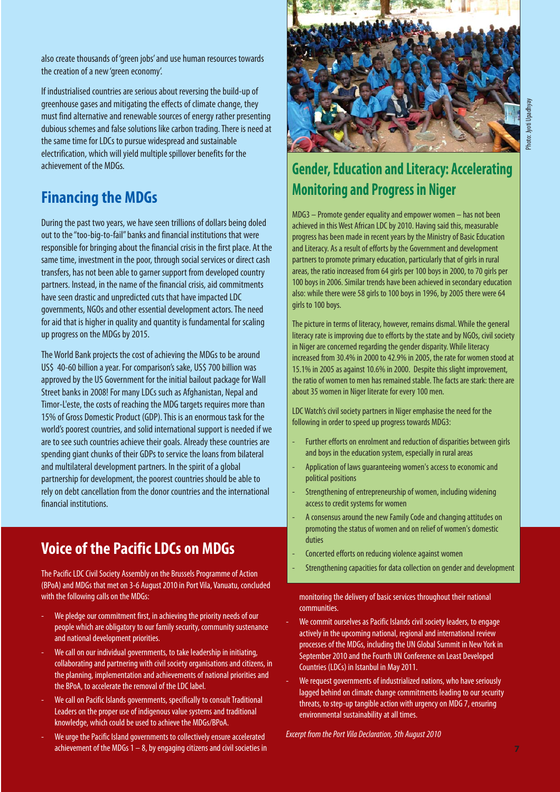also create thousands of 'green jobs' and use human resources towards the creation of a new 'green economy'.

If industrialised countries are serious about reversing the build-up of greenhouse gases and mitigating the effects of climate change, they must find alternative and renewable sources of energy rather presenting dubious schemes and false solutions like carbon trading. There is need at the same time for LDCs to pursue widespread and sustainable electrification, which will yield multiple spillover benefits for the achievement of the MDGs.

## **Financing the MDGs**

During the past two years, we have seen trillions of dollars being doled out to the "too-big-to-fail" banks and financial institutions that were responsible for bringing about the financial crisis in the first place. At the same time, investment in the poor, through social services or direct cash transfers, has not been able to garner support from developed country partners. Instead, in the name of the financial crisis, aid commitments have seen drastic and unpredicted cuts that have impacted LDC governments, NGOs and other essential development actors. The need for aid that is higher in quality and quantity is fundamental for scaling up progress on the MDGs by 2015.

The World Bank projects the cost of achieving the MDGs to be around US\$ 40-60 billion a year. For comparison's sake, US\$ 700 billion was approved by the US Government for the initial bailout package for Wall Street banks in 2008! For many LDCs such as Afghanistan, Nepal and Timor-L'este, the costs of reaching the MDG targets requires more than 15% of Gross Domestic Product (GDP). This is an enormous task for the world's poorest countries, and solid international support is needed if we are to see such countries achieve their goals. Already these countries are spending giant chunks of their GDPs to service the loans from bilateral and multilateral development partners. In the spirit of a global partnership for development, the poorest countries should be able to rely on debt cancellation from the donor countries and the international financial institutions.

## **Voice of the Pacific LDCs on MDGs**

The Pacific LDC Civil Society Assembly on the Brussels Programme of Action (BPoA) and MDGs that met on 3-6 August 2010 in Port Vila, Vanuatu, concluded with the following calls on the MDGs:

- We pledge our commitment first, in achieving the priority needs of our people which are obligatory to our family security, community sustenance and national development priorities.
- We call on our individual governments, to take leadership in initiating, collaborating and partnering with civil society organisations and citizens, in the planning, implementation and achievements of national priorities and the BPoA, to accelerate the removal of the LDC label.
- We call on Pacific Islands governments, specifically to consult Traditional Leaders on the proper use of indigenous value systems and traditional knowledge, which could be used to achieve the MDGs/BPoA.
- We urge the Pacific Island governments to collectively ensure accelerated achievement of the MDGs  $1 - 8$ , by engaging citizens and civil societies in



## **Gender, Education and Literacy: Accelerating Monitoring and Progress in Niger**

MDG3 – Promote gender equality and empower women – has not been achieved in this West African LDC by 2010. Having said this, measurable progress has been made in recent years by the Ministry of Basic Education and Literacy. As a result of efforts by the Government and development partners to promote primary education, particularly that of girls in rural areas, the ratio increased from 64 girls per 100 boys in 2000, to 70 girls per 100 boys in 2006. Similar trends have been achieved in secondary education also: while there were 58 girls to 100 boys in 1996, by 2005 there were 64 girls to 100 boys.

The picture in terms of literacy, however, remains dismal. While the general literacy rate is improving due to efforts by the state and by NGOs, civil society in Niger are concerned regarding the gender disparity. While literacy increased from 30.4% in 2000 to 42.9% in 2005, the rate for women stood at 15.1% in 2005 as against 10.6% in 2000. Despite this slight improvement, the ratio of women to men has remained stable. The facts are stark: there are about 35 women in Niger literate for every 100 men.

LDC Watch's civil society partners in Niger emphasise the need for the following in order to speed up progress towards MDG3:

- Further efforts on enrolment and reduction of disparities between girls and boys in the education system, especially in rural areas
- Application of laws guaranteeing women's access to economic and political positions
- Strengthening of entrepreneurship of women, including widening access to credit systems for women
- A consensus around the new Family Code and changing attitudes on promoting the status of women and on relief of women's domestic duties
- Concerted efforts on reducing violence against women
- Strengthening capacities for data collection on gender and development

monitoring the delivery of basic services throughout their national communities.

- We commit ourselves as Pacific Islands civil society leaders, to engage actively in the upcoming national, regional and international review processes of the MDGs, including the UN Global Summit in New York in September 2010 and the Fourth UN Conference on Least Developed Countries (LDCs) in Istanbul in May 2011.
- We request governments of industrialized nations, who have seriously lagged behind on climate change commitments leading to our security threats, to step-up tangible action with urgency on MDG 7, ensuring environmental sustainability at all times.

Excerpt from the Port Vila Declaration, 5th August 2010